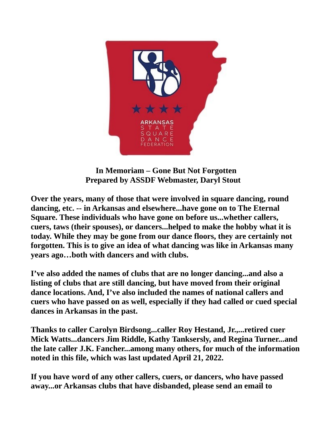

 **In Memoriam – Gone But Not Forgotten Prepared by ASSDF Webmaster, Daryl Stout**

**Over the years, many of those that were involved in square dancing, round dancing, etc. -- in Arkansas and elsewhere...have gone on to The Eternal Square. These individuals who have gone on before us...whether callers, cuers, taws (their spouses), or dancers...helped to make the hobby what it is today. While they may be gone from our dance floors, they are certainly not forgotten. This is to give an idea of what dancing was like in Arkansas many years ago…both with dancers and with clubs.**

**I've also added the names of clubs that are no longer dancing...and also a listing of clubs that are still dancing, but have moved from their original dance locations. And, I've also included the names of national callers and cuers who have passed on as well, especially if they had called or cued special dances in Arkansas in the past.**

**Thanks to caller Carolyn Birdsong...caller Roy Hestand, Jr.,...retired cuer Mick Watts...dancers Jim Riddle, Kathy Tanksersly, and Regina Turner...and the late caller J.K. Fancher...among many others, for much of the information noted in this file, which was last updated April 21, 2022.** 

**If you have word of any other callers, cuers, or dancers, who have passed away...or Arkansas clubs that have disbanded, please send an email to**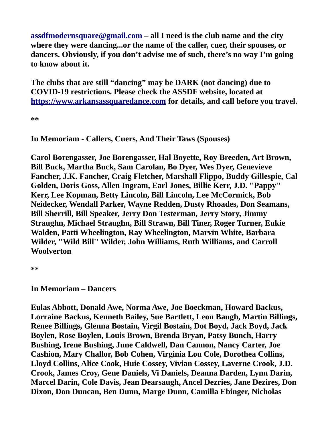**[assdfmodernsquare@gmail.com](mailto:assdfmodernsquare@gmail.com) – all I need is the club name and the city where they were dancing...or the name of the caller, cuer, their spouses, or dancers. Obviously, if you don't advise me of such, there's no way I'm going to know about it.**

**The clubs that are still "dancing" may be DARK (not dancing) due to COVID-19 restrictions. Please check the ASSDF website, located at [https://www.arkansassquaredance.com](https://www.arkansassquaredance.com/) for details, and call before you travel.**

**\*\***

**In Memoriam - Callers, Cuers, And Their Taws (Spouses)**

**Carol Borengasser, Joe Borengasser, Hal Boyette, Roy Breeden, Art Brown, Bill Buck, Martha Buck, Sam Carolan, Bo Dyer, Wes Dyer, Genevieve Fancher, J.K. Fancher, Craig Fletcher, Marshall Flippo, Buddy Gillespie, Cal Golden, Doris Goss, Allen Ingram, Earl Jones, Billie Kerr, J.D. ''Pappy'' Kerr, Lee Kopman, Betty Lincoln, Bill Lincoln, Lee McCormick, Bob Neidecker, Wendall Parker, Wayne Redden, Dusty Rhoades, Don Seamans, Bill Sherrill, Bill Speaker, Jerry Don Testerman, Jerry Story, Jimmy Straughn, Michael Straughn, Bill Strawn, Bill Tiner, Roger Turner, Eukie Walden, Patti Wheelington, Ray Wheelington, Marvin White, Barbara Wilder, ''Wild Bill'' Wilder, John Williams, Ruth Williams, and Carroll Woolverton**

**\*\***

**In Memoriam – Dancers**

**Eulas Abbott, Donald Awe, Norma Awe, Joe Boeckman, Howard Backus, Lorraine Backus, Kenneth Bailey, Sue Bartlett, Leon Baugh, Martin Billings, Renee Billings, Glenna Bostain, Virgil Bostain, Dot Boyd, Jack Boyd, Jack Boylen, Rose Boylen, Louis Brown, Brenda Bryan, Patsy Bunch, Harry Bushing, Irene Bushing, June Caldwell, Dan Cannon, Nancy Carter, Joe Cashion, Mary Challor, Bob Cohen, Virginia Lou Cole, Dorothea Collins, Lloyd Collins, Alice Cook, Huie Cossey, Vivian Cossey, Laverne Crook, J.D. Crook, James Croy, Gene Daniels, Vi Daniels, Deanna Darden, Lynn Darin, Marcel Darin, Cole Davis, Jean Dearsaugh, Ancel Dezries, Jane Dezires, Don Dixon, Don Duncan, Ben Dunn, Marge Dunn, Camilla Ebinger, Nicholas**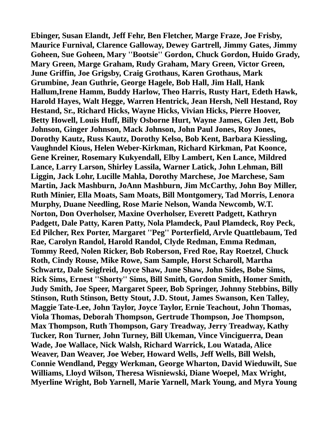**Ebinger, Susan Elandt, Jeff Fehr, Ben Fletcher, Marge Fraze, Joe Frisby, Maurice Furnival, Clarence Galloway, Dewey Gartrell, Jimmy Gates, Jimmy Goheen, Sue Goheen, Mary ''Bootsie'' Gordon, Chuck Gordon, Huido Grady, Mary Green, Marge Graham, Rudy Graham, Mary Green, Victor Green, June Griffin, Joe Grigsby, Craig Grothaus, Karen Grothaus, Mark Grumbine, Jean Guthrie, George Hagele, Bob Hall, Jim Hall, Hank Hallum,Irene Hamm, Buddy Harlow, Theo Harris, Rusty Hart, Edeth Hawk, Harold Hayes, Walt Hegge, Warren Hentrick, Jean Hersh, Nell Hestand, Roy Hestand, Sr., Richard Hicks, Wayne Hicks, Vivian Hicks, Pierre Hoover, Betty Howell, Louis Huff, Billy Osborne Hurt, Wayne James, Glen Jett, Bob Johnson, Ginger Johnson, Mack Johnson, John Paul Jones, Roy Jones, Dorothy Kautz, Russ Kautz, Dorothy Kelso, Bob Kent, Barbara Kiessling, Vaughndel Kious, Helen Weber-Kirkman, Richard Kirkman, Pat Koonce, Gene Kreiner, Rosemary Kukyendall, Elby Lambert, Ken Lance, Mildred Lance, Larry Larson, Shirley Lassila, Warner Latick, John Lehman, Bill Liggin, Jack Lohr, Lucille Mahla, Dorothy Marchese, Joe Marchese, Sam Martin, Jack Mashburn, JoAnn Mashburn, Jim McCarthy, John Boy Miller, Ruth Minier, Ella Moats, Sam Moats, Bill Montgomery, Tad Morris, Lenora Murphy, Duane Needling, Rose Marie Nelson, Wanda Newcomb, W.T. Norton, Don Overholser, Maxine Overholser, Everett Padgett, Kathryn Padgett, Dale Patty, Karen Patty, Nola Plamdeck, Paul Plamdeck, Roy Peck, Ed Pilcher, Rex Porter, Margaret ''Peg'' Porterfield, Arvle Quattlebaum, Ted Rae, Carolyn Randol, Harold Randol, Clyde Redman, Emma Redman, Tommy Reed, Nolen Ricker, Bob Roberson, Fred Roe, Ray Roetzel, Chuck Roth, Cindy Rouse, Mike Rowe, Sam Sample, Horst Scharoll, Martha Schwartz, Dale Seigfreid, Joyce Shaw, June Shaw, John Sides, Bobe Sims, Rick Sims, Ernest ''Shorty'' Sims, Bill Smith, Gordon Smith, Homer Smith, Judy Smith, Joe Speer, Margaret Speer, Bob Springer, Johnny Stebbins, Billy Stinson, Ruth Stinson, Betty Stout, J.D. Stout, James Swanson, Ken Talley, Maggie Tate-Lee, John Taylor, Joyce Taylor, Ernie Teachout, John Thomas, Viola Thomas, Deborah Thompson, Gertrude Thompson, Joe Thompson, Max Thompson, Ruth Thompson, Gary Treadway, Jerry Treadway, Kathy Tucker, Ron Turner, John Turney, Bill Ukeman, Vince Vinciguerra, Dean Wade, Joe Wallace, Nick Walsh, Richard Warrick, Lou Watada, Alice Weaver, Dan Weaver, Joe Weber, Howard Wells, Jeff Wells, Bill Welsh, Connie Wendland, Peggy Werkman, George Wharton, David Wieduwilt, Sue Williams, Lloyd Wilson, Theresa Wisniewski, Diane Woepel, Max Wright, Myerline Wright, Bob Yarnell, Marie Yarnell, Mark Young, and Myra Young**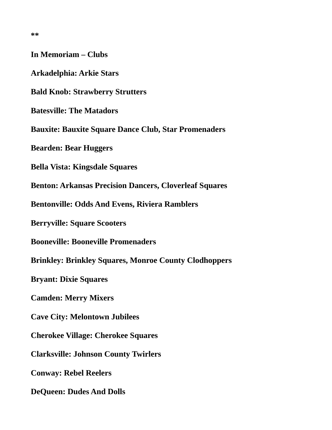| In Memoriam – Clubs                                           |
|---------------------------------------------------------------|
| Arkadelphia: Arkie Stars                                      |
| <b>Bald Knob: Strawberry Strutters</b>                        |
| <b>Batesville: The Matadors</b>                               |
| <b>Bauxite: Bauxite Square Dance Club, Star Promenaders</b>   |
| <b>Bearden: Bear Huggers</b>                                  |
| <b>Bella Vista: Kingsdale Squares</b>                         |
| <b>Benton: Arkansas Precision Dancers, Cloverleaf Squares</b> |
| <b>Bentonville: Odds And Evens, Riviera Ramblers</b>          |
| <b>Berryville: Square Scooters</b>                            |
| <b>Booneville: Booneville Promenaders</b>                     |
| <b>Brinkley: Brinkley Squares, Monroe County Clodhoppers</b>  |
| <b>Bryant: Dixie Squares</b>                                  |
| <b>Camden: Merry Mixers</b>                                   |
| <b>Cave City: Melontown Jubilees</b>                          |
| <b>Cherokee Village: Cherokee Squares</b>                     |
| <b>Clarksville: Johnson County Twirlers</b>                   |
| <b>Conway: Rebel Reelers</b>                                  |
| <b>DeQueen: Dudes And Dolls</b>                               |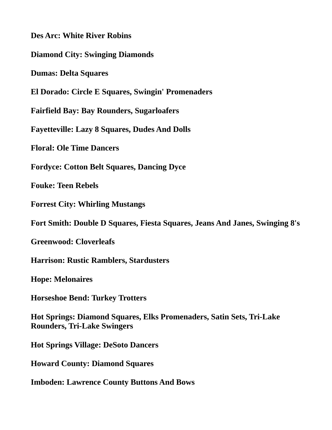**Des Arc: White River Robins**

**Diamond City: Swinging Diamonds**

**Dumas: Delta Squares**

**El Dorado: Circle E Squares, Swingin' Promenaders**

**Fairfield Bay: Bay Rounders, Sugarloafers**

**Fayetteville: Lazy 8 Squares, Dudes And Dolls**

**Floral: Ole Time Dancers**

**Fordyce: Cotton Belt Squares, Dancing Dyce**

**Fouke: Teen Rebels**

**Forrest City: Whirling Mustangs**

**Fort Smith: Double D Squares, Fiesta Squares, Jeans And Janes, Swinging 8's**

**Greenwood: Cloverleafs**

**Harrison: Rustic Ramblers, Stardusters**

**Hope: Melonaires**

**Horseshoe Bend: Turkey Trotters**

**Hot Springs: Diamond Squares, Elks Promenaders, Satin Sets, Tri-Lake Rounders, Tri-Lake Swingers**

**Hot Springs Village: DeSoto Dancers**

**Howard County: Diamond Squares**

**Imboden: Lawrence County Buttons And Bows**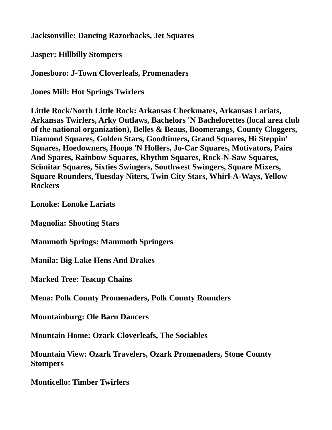## **Jacksonville: Dancing Razorbacks, Jet Squares**

**Jasper: Hillbilly Stompers**

**Jonesboro: J-Town Cloverleafs, Promenaders**

**Jones Mill: Hot Springs Twirlers**

**Little Rock/North Little Rock: Arkansas Checkmates, Arkansas Lariats, Arkansas Twirlers, Arky Outlaws, Bachelors 'N Bachelorettes (local area club of the national organization), Belles & Beaus, Boomerangs, County Cloggers, Diamond Squares, Golden Stars, Goodtimers, Grand Squares, Hi Steppin' Squares, Hoedowners, Hoops 'N Hollers, Jo-Car Squares, Motivators, Pairs And Spares, Rainbow Squares, Rhythm Squares, Rock-N-Saw Squares, Scimitar Squares, Sixties Swingers, Southwest Swingers, Square Mixers, Square Rounders, Tuesday Niters, Twin City Stars, Whirl-A-Ways, Yellow Rockers**

**Lonoke: Lonoke Lariats**

**Magnolia: Shooting Stars**

**Mammoth Springs: Mammoth Springers**

**Manila: Big Lake Hens And Drakes**

**Marked Tree: Teacup Chains**

**Mena: Polk County Promenaders, Polk County Rounders**

**Mountainburg: Ole Barn Dancers**

**Mountain Home: Ozark Cloverleafs, The Sociables**

**Mountain View: Ozark Travelers, Ozark Promenaders, Stone County Stompers**

**Monticello: Timber Twirlers**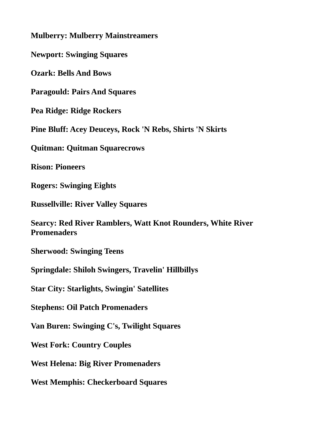**Mulberry: Mulberry Mainstreamers**

**Newport: Swinging Squares**

**Ozark: Bells And Bows**

**Paragould: Pairs And Squares**

**Pea Ridge: Ridge Rockers**

**Pine Bluff: Acey Deuceys, Rock 'N Rebs, Shirts 'N Skirts**

**Quitman: Quitman Squarecrows**

**Rison: Pioneers**

**Rogers: Swinging Eights**

**Russellville: River Valley Squares**

**Searcy: Red River Ramblers, Watt Knot Rounders, White River Promenaders**

**Sherwood: Swinging Teens**

**Springdale: Shiloh Swingers, Travelin' Hillbillys**

**Star City: Starlights, Swingin' Satellites**

**Stephens: Oil Patch Promenaders**

**Van Buren: Swinging C's, Twilight Squares**

**West Fork: Country Couples**

**West Helena: Big River Promenaders**

**West Memphis: Checkerboard Squares**